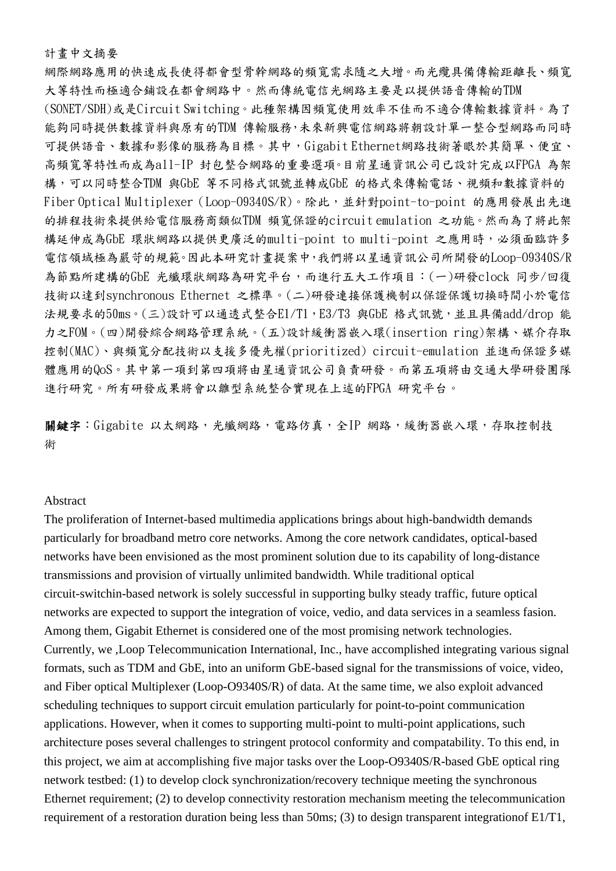## 計畫中文摘要

網際網路應用的快速成長使得都會型骨幹網路的頻寬需求隨之大增。而光纜具備傳輸距離長、頻寬 大等特性而極適合鋪設在都會網路中。然而傳統電信光網路主要是以提供語音傳輸的TDM (SONET/SDH)或是Circuit Switching。此種架構因頻寬使用效率不佳而不適合傳輸數據資料。為了 能夠同時提供數據資料與原有的TDM 傳輸服務,未來新興電信網路將朝設計單一整合型網路而同時 可提供語音、數據和影像的服務為目標。其中,Gigabit Ethernet網路技術著眼於其簡單、便宜、 高頻寬等特性而成為all-IP 封包整合網路的重要選項。目前星通資訊公司已設計完成以FPGA 為架 構,可以同時整合TDM 與GbE 等不同格式訊號並轉成GbE 的格式來傳輸電話、視頻和數據資料的 Fiber Optical Multiplexer (Loop-O9340S/R)。除此,並針對point-to-point 的應用發展出先進 的排程技術來提供給電信服務商類似TDM 頻寬保證的circuit emulation 之功能。然而為了將此架 構延伸成為GbE 環狀網路以提供更廣泛的multi-point to multi-point 之應用時,必須面臨許多 電信領域極為嚴苛的規範。因此本研究計畫提案中,我們將以星通資訊公司所開發的Loop-O9340S/R 為節點所建構的GbE 光纖環狀網路為研究平台,而進行五大工作項目:(一)研發clock 同步/回復 技術以達到synchronous Ethernet 之標準。(二)研發連接保護機制以保證保護切換時間小於電信 法規要求的50ms。(三)設計可以通透式整合E1/T1,E3/T3 與GbE 格式訊號,並且具備add/drop 能 力之FOM。(四)開發綜合網路管理系統。(五)設計緩衝器嵌入環(insertion ring)架構、媒介存取 控制(MAC)、與頻寬分配技術以支援多優先權(prioritized) circuit-emulation 並進而保證多媒 體應用的QoS。其中第一項到第四項將由星通資訊公司負責研發。而第五項將由交通大學研發團隊 進行研究。所有研發成果將會以雛型系統整合實現在上述的FPGA 研究平台。

關鍵字: Gigabite 以太網路,光纖網路,電路仿真,全IP 網路,緩衝器嵌入環,存取控制技 術

## Abstract

The proliferation of Internet-based multimedia applications brings about high-bandwidth demands particularly for broadband metro core networks. Among the core network candidates, optical-based networks have been envisioned as the most prominent solution due to its capability of long-distance transmissions and provision of virtually unlimited bandwidth. While traditional optical circuit-switchin-based network is solely successful in supporting bulky steady traffic, future optical networks are expected to support the integration of voice, vedio, and data services in a seamless fasion. Among them, Gigabit Ethernet is considered one of the most promising network technologies. Currently, we ,Loop Telecommunication International, Inc., have accomplished integrating various signal formats, such as TDM and GbE, into an uniform GbE-based signal for the transmissions of voice, video, and Fiber optical Multiplexer (Loop-O9340S/R) of data. At the same time, we also exploit advanced scheduling techniques to support circuit emulation particularly for point-to-point communication applications. However, when it comes to supporting multi-point to multi-point applications, such architecture poses several challenges to stringent protocol conformity and compatability. To this end, in this project, we aim at accomplishing five major tasks over the Loop-O9340S/R-based GbE optical ring network testbed: (1) to develop clock synchronization/recovery technique meeting the synchronous Ethernet requirement; (2) to develop connectivity restoration mechanism meeting the telecommunication requirement of a restoration duration being less than 50ms; (3) to design transparent integrationof E1/T1,